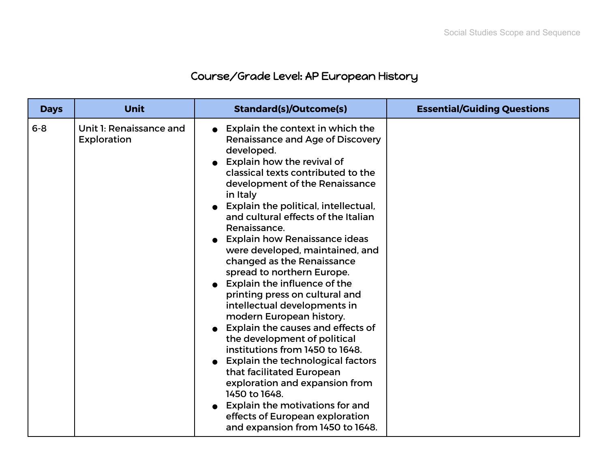## Course/Grade Level: AP European History

| <b>Days</b> | <b>Unit</b>                                   | <b>Standard(s)/Outcome(s)</b>                                                                                                                                                                                                                                                                                                                                                                                                                                                                                                                                                                                                                                                                                                                                                                                                                                                                                                      | <b>Essential/Guiding Questions</b> |
|-------------|-----------------------------------------------|------------------------------------------------------------------------------------------------------------------------------------------------------------------------------------------------------------------------------------------------------------------------------------------------------------------------------------------------------------------------------------------------------------------------------------------------------------------------------------------------------------------------------------------------------------------------------------------------------------------------------------------------------------------------------------------------------------------------------------------------------------------------------------------------------------------------------------------------------------------------------------------------------------------------------------|------------------------------------|
| $6 - 8$     | Unit 1: Renaissance and<br><b>Exploration</b> | Explain the context in which the<br>Renaissance and Age of Discovery<br>developed.<br>Explain how the revival of<br>classical texts contributed to the<br>development of the Renaissance<br>in Italy<br>Explain the political, intellectual,<br>and cultural effects of the Italian<br>Renaissance.<br><b>Explain how Renaissance ideas</b><br>were developed, maintained, and<br>changed as the Renaissance<br>spread to northern Europe.<br>• Explain the influence of the<br>printing press on cultural and<br>intellectual developments in<br>modern European history.<br>Explain the causes and effects of<br>the development of political<br>institutions from 1450 to 1648.<br><b>Explain the technological factors</b><br>that facilitated European<br>exploration and expansion from<br>1450 to 1648.<br>$\bullet$ Explain the motivations for and<br>effects of European exploration<br>and expansion from 1450 to 1648. |                                    |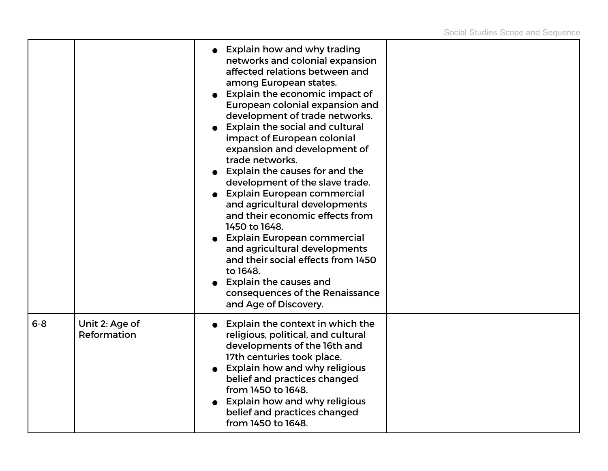|         |                               | • Explain how and why trading<br>networks and colonial expansion<br>affected relations between and<br>among European states.<br>Explain the economic impact of<br>European colonial expansion and<br>development of trade networks.<br><b>Explain the social and cultural</b><br>impact of European colonial<br>expansion and development of<br>trade networks.<br>Explain the causes for and the<br>development of the slave trade.<br><b>Explain European commercial</b><br>and agricultural developments<br>and their economic effects from<br>1450 to 1648.<br><b>Explain European commercial</b><br>and agricultural developments<br>and their social effects from 1450<br>to 1648.<br><b>Explain the causes and</b><br>consequences of the Renaissance<br>and Age of Discovery. |  |
|---------|-------------------------------|---------------------------------------------------------------------------------------------------------------------------------------------------------------------------------------------------------------------------------------------------------------------------------------------------------------------------------------------------------------------------------------------------------------------------------------------------------------------------------------------------------------------------------------------------------------------------------------------------------------------------------------------------------------------------------------------------------------------------------------------------------------------------------------|--|
| $6 - 8$ | Unit 2: Age of<br>Reformation | Explain the context in which the<br>religious, political, and cultural<br>developments of the 16th and<br>17th centuries took place.<br><b>Explain how and why religious</b><br>belief and practices changed<br>from 1450 to 1648.<br>Explain how and why religious<br>belief and practices changed<br>from 1450 to 1648.                                                                                                                                                                                                                                                                                                                                                                                                                                                             |  |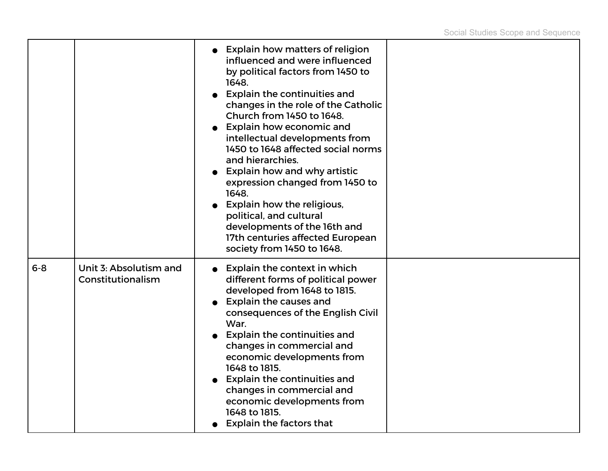|         |                                             | • Explain how matters of religion<br>influenced and were influenced<br>by political factors from 1450 to<br>1648.<br><b>Explain the continuities and</b><br>changes in the role of the Catholic<br>Church from 1450 to 1648.<br><b>Explain how economic and</b><br>intellectual developments from<br>1450 to 1648 affected social norms<br>and hierarchies.<br><b>Explain how and why artistic</b><br>expression changed from 1450 to<br>1648.<br><b>Explain how the religious,</b><br>political, and cultural<br>developments of the 16th and<br>17th centuries affected European<br>society from 1450 to 1648. |  |
|---------|---------------------------------------------|------------------------------------------------------------------------------------------------------------------------------------------------------------------------------------------------------------------------------------------------------------------------------------------------------------------------------------------------------------------------------------------------------------------------------------------------------------------------------------------------------------------------------------------------------------------------------------------------------------------|--|
| $6 - 8$ | Unit 3: Absolutism and<br>Constitutionalism | <b>Explain the context in which</b><br>different forms of political power<br>developed from 1648 to 1815.<br><b>Explain the causes and</b><br>consequences of the English Civil<br>War.<br><b>Explain the continuities and</b><br>changes in commercial and<br>economic developments from<br>1648 to 1815.<br><b>Explain the continuities and</b><br>changes in commercial and<br>economic developments from<br>1648 to 1815.<br><b>Explain the factors that</b>                                                                                                                                                 |  |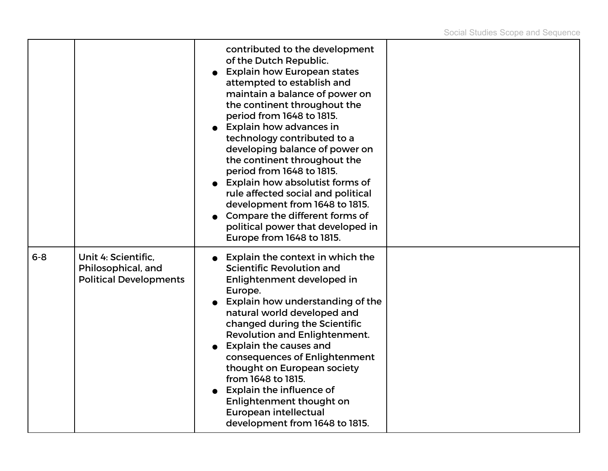|         |                                                                            | contributed to the development<br>of the Dutch Republic.<br><b>Explain how European states</b><br>attempted to establish and<br>maintain a balance of power on<br>the continent throughout the<br>period from 1648 to 1815.<br>Explain how advances in<br>technology contributed to a<br>developing balance of power on<br>the continent throughout the<br>period from 1648 to 1815.<br>Explain how absolutist forms of<br>rule affected social and political<br>development from 1648 to 1815.<br>Compare the different forms of<br>political power that developed in<br>Europe from 1648 to 1815. |  |
|---------|----------------------------------------------------------------------------|-----------------------------------------------------------------------------------------------------------------------------------------------------------------------------------------------------------------------------------------------------------------------------------------------------------------------------------------------------------------------------------------------------------------------------------------------------------------------------------------------------------------------------------------------------------------------------------------------------|--|
| $6 - 8$ | Unit 4: Scientific,<br>Philosophical, and<br><b>Political Developments</b> | Explain the context in which the<br>Scientific Revolution and<br>Enlightenment developed in<br>Europe.<br>Explain how understanding of the<br>natural world developed and<br>changed during the Scientific<br><b>Revolution and Enlightenment.</b><br><b>Explain the causes and</b><br>consequences of Enlightenment<br>thought on European society<br>from 1648 to 1815.<br>Explain the influence of<br>Enlightenment thought on<br>European intellectual<br>development from 1648 to 1815.                                                                                                        |  |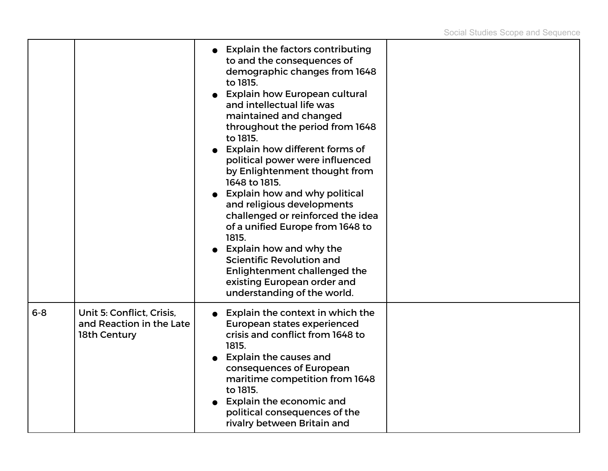|         |                                                                       | <b>Explain the factors contributing</b><br>to and the consequences of<br>demographic changes from 1648<br>to 1815.<br><b>Explain how European cultural</b><br>$\bullet$<br>and intellectual life was<br>maintained and changed<br>throughout the period from 1648<br>to 1815.<br>Explain how different forms of<br>political power were influenced<br>by Enlightenment thought from<br>1648 to 1815.<br>Explain how and why political<br>and religious developments<br>challenged or reinforced the idea<br>of a unified Europe from 1648 to<br>1815.<br>Explain how and why the<br>Scientific Revolution and<br>Enlightenment challenged the<br>existing European order and<br>understanding of the world. |  |
|---------|-----------------------------------------------------------------------|-------------------------------------------------------------------------------------------------------------------------------------------------------------------------------------------------------------------------------------------------------------------------------------------------------------------------------------------------------------------------------------------------------------------------------------------------------------------------------------------------------------------------------------------------------------------------------------------------------------------------------------------------------------------------------------------------------------|--|
| $6 - 8$ | Unit 5: Conflict, Crisis,<br>and Reaction in the Late<br>18th Century | Explain the context in which the<br><b>European states experienced</b><br>crisis and conflict from 1648 to<br>1815.<br><b>Explain the causes and</b><br>consequences of European<br>maritime competition from 1648<br>to 1815.<br>Explain the economic and<br>political consequences of the<br>rivalry between Britain and                                                                                                                                                                                                                                                                                                                                                                                  |  |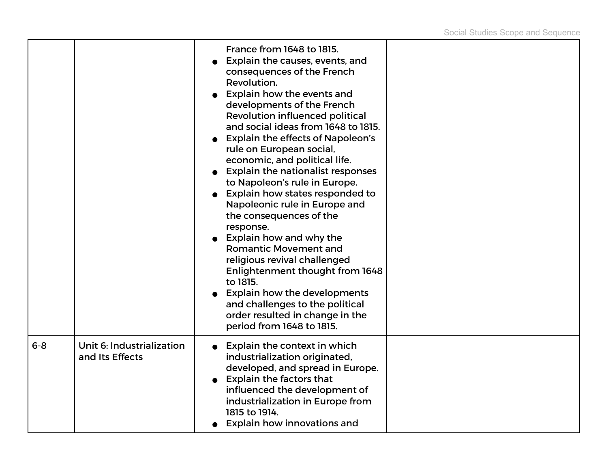|         |                                              | France from 1648 to 1815.<br>Explain the causes, events, and<br>consequences of the French<br>Revolution.<br>Explain how the events and<br>developments of the French<br><b>Revolution influenced political</b><br>and social ideas from 1648 to 1815.<br><b>Explain the effects of Napoleon's</b><br>rule on European social,<br>economic, and political life.<br><b>Explain the nationalist responses</b><br>to Napoleon's rule in Europe.<br>Explain how states responded to<br>Napoleonic rule in Europe and<br>the consequences of the<br>response.<br><b>Explain how and why the</b><br><b>Romantic Movement and</b><br>religious revival challenged<br>Enlightenment thought from 1648<br>to 1815.<br><b>Explain how the developments</b><br>and challenges to the political<br>order resulted in change in the<br>period from 1648 to 1815. |  |
|---------|----------------------------------------------|-----------------------------------------------------------------------------------------------------------------------------------------------------------------------------------------------------------------------------------------------------------------------------------------------------------------------------------------------------------------------------------------------------------------------------------------------------------------------------------------------------------------------------------------------------------------------------------------------------------------------------------------------------------------------------------------------------------------------------------------------------------------------------------------------------------------------------------------------------|--|
| $6 - 8$ | Unit 6: Industrialization<br>and Its Effects | Explain the context in which<br>industrialization originated,<br>developed, and spread in Europe.<br><b>Explain the factors that</b><br>influenced the development of<br>industrialization in Europe from<br>1815 to 1914.<br><b>Explain how innovations and</b>                                                                                                                                                                                                                                                                                                                                                                                                                                                                                                                                                                                    |  |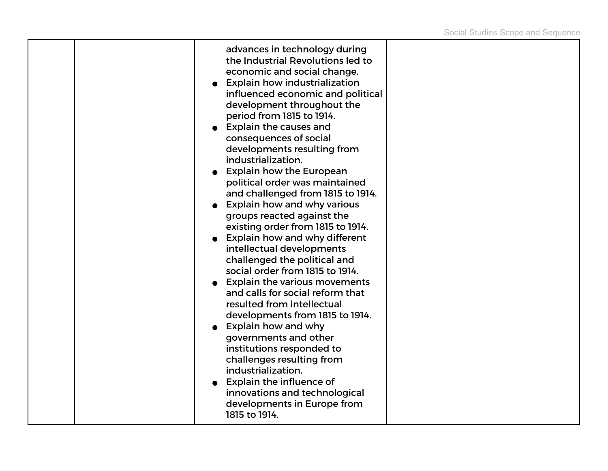|  | advances in technology during<br>the Industrial Revolutions led to<br>economic and social change.<br><b>Explain how industrialization</b><br>influenced economic and political<br>development throughout the<br>period from 1815 to 1914.<br><b>Explain the causes and</b><br>consequences of social<br>developments resulting from<br>industrialization.<br><b>Explain how the European</b><br>political order was maintained<br>and challenged from 1815 to 1914.<br><b>Explain how and why various</b><br>groups reacted against the<br>existing order from 1815 to 1914.<br><b>Explain how and why different</b><br>intellectual developments<br>challenged the political and<br>social order from 1815 to 1914.<br><b>Explain the various movements</b><br>and calls for social reform that<br>resulted from intellectual<br>developments from 1815 to 1914.<br><b>Explain how and why</b><br>governments and other<br>institutions responded to<br>challenges resulting from<br>industrialization.<br><b>Explain the influence of</b><br>innovations and technological |  |
|--|------------------------------------------------------------------------------------------------------------------------------------------------------------------------------------------------------------------------------------------------------------------------------------------------------------------------------------------------------------------------------------------------------------------------------------------------------------------------------------------------------------------------------------------------------------------------------------------------------------------------------------------------------------------------------------------------------------------------------------------------------------------------------------------------------------------------------------------------------------------------------------------------------------------------------------------------------------------------------------------------------------------------------------------------------------------------------|--|
|  | developments in Europe from<br>1815 to 1914.                                                                                                                                                                                                                                                                                                                                                                                                                                                                                                                                                                                                                                                                                                                                                                                                                                                                                                                                                                                                                                 |  |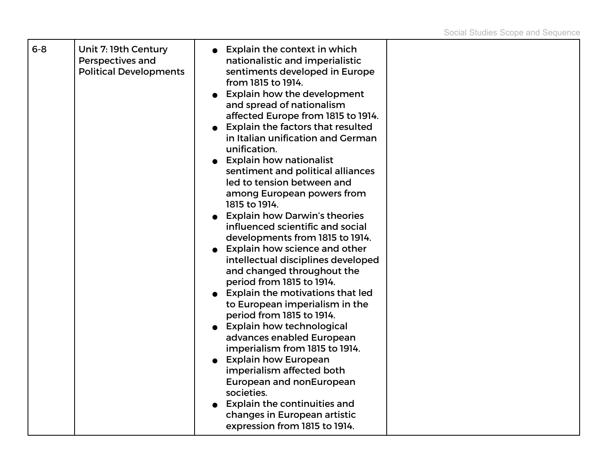| Perspectives and<br><b>Political Developments</b> |
|---------------------------------------------------|
|---------------------------------------------------|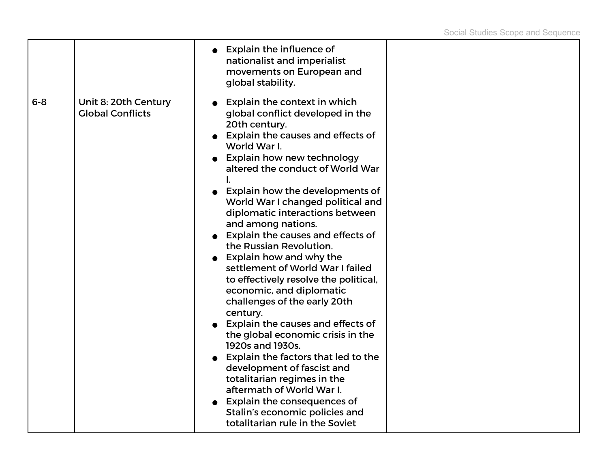|         |                                                 | <b>Explain the influence of</b><br>nationalist and imperialist<br>movements on European and<br>global stability.                                                                                                                                                                                                                                                                                                                                                                                                                                                                                                                                                                                                                                                                                                                                                                                                                                  |  |
|---------|-------------------------------------------------|---------------------------------------------------------------------------------------------------------------------------------------------------------------------------------------------------------------------------------------------------------------------------------------------------------------------------------------------------------------------------------------------------------------------------------------------------------------------------------------------------------------------------------------------------------------------------------------------------------------------------------------------------------------------------------------------------------------------------------------------------------------------------------------------------------------------------------------------------------------------------------------------------------------------------------------------------|--|
| $6 - 8$ | Unit 8: 20th Century<br><b>Global Conflicts</b> | Explain the context in which<br>global conflict developed in the<br>20th century.<br>Explain the causes and effects of<br>World War I.<br><b>Explain how new technology</b><br>altered the conduct of World War<br>Explain how the developments of<br>World War I changed political and<br>diplomatic interactions between<br>and among nations.<br>Explain the causes and effects of<br>the Russian Revolution.<br>Explain how and why the<br>settlement of World War I failed<br>to effectively resolve the political,<br>economic, and diplomatic<br>challenges of the early 20th<br>century.<br><b>Explain the causes and effects of</b><br>the global economic crisis in the<br>1920s and 1930s.<br>Explain the factors that led to the<br>development of fascist and<br>totalitarian regimes in the<br>aftermath of World War I.<br><b>Explain the consequences of</b><br>Stalin's economic policies and<br>totalitarian rule in the Soviet |  |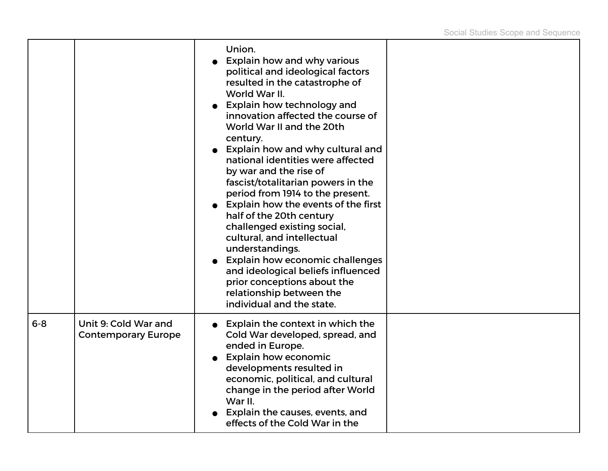|         |                                                    | Union.<br>Explain how and why various<br>political and ideological factors<br>resulted in the catastrophe of<br>World War II.<br><b>Explain how technology and</b><br>innovation affected the course of<br>World War II and the 20th<br>century.<br>Explain how and why cultural and<br>national identities were affected<br>by war and the rise of<br>fascist/totalitarian powers in the<br>period from 1914 to the present.<br><b>Explain how the events of the first</b><br>half of the 20th century<br>challenged existing social,<br>cultural, and intellectual<br>understandings.<br><b>Explain how economic challenges</b><br>and ideological beliefs influenced<br>prior conceptions about the<br>relationship between the<br>individual and the state. |  |
|---------|----------------------------------------------------|-----------------------------------------------------------------------------------------------------------------------------------------------------------------------------------------------------------------------------------------------------------------------------------------------------------------------------------------------------------------------------------------------------------------------------------------------------------------------------------------------------------------------------------------------------------------------------------------------------------------------------------------------------------------------------------------------------------------------------------------------------------------|--|
| $6 - 8$ | Unit 9: Cold War and<br><b>Contemporary Europe</b> | Explain the context in which the<br>Cold War developed, spread, and<br>ended in Europe.<br><b>Explain how economic</b><br>developments resulted in<br>economic, political, and cultural<br>change in the period after World<br>War II.<br>Explain the causes, events, and<br>effects of the Cold War in the                                                                                                                                                                                                                                                                                                                                                                                                                                                     |  |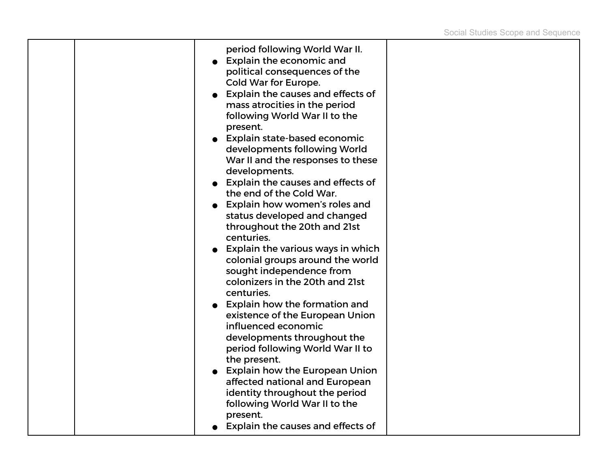|  | period following World War II.<br>Explain the economic and<br>political consequences of the<br>Cold War for Europe.<br><b>Explain the causes and effects of</b><br>mass atrocities in the period<br>following World War II to the<br>present.<br>• Explain state-based economic<br>developments following World<br>War II and the responses to these<br>developments.<br>Explain the causes and effects of<br>the end of the Cold War.<br>Explain how women's roles and<br>status developed and changed<br>throughout the 20th and 21st<br>centuries.<br>$\bullet$ Explain the various ways in which<br>colonial groups around the world<br>sought independence from<br>colonizers in the 20th and 21st<br>centuries.<br><b>Explain how the formation and</b><br>existence of the European Union<br>influenced economic<br>developments throughout the<br>period following World War II to<br>the present.<br><b>Explain how the European Union</b><br>affected national and European<br>identity throughout the period<br>following World War II to the |  |
|--|----------------------------------------------------------------------------------------------------------------------------------------------------------------------------------------------------------------------------------------------------------------------------------------------------------------------------------------------------------------------------------------------------------------------------------------------------------------------------------------------------------------------------------------------------------------------------------------------------------------------------------------------------------------------------------------------------------------------------------------------------------------------------------------------------------------------------------------------------------------------------------------------------------------------------------------------------------------------------------------------------------------------------------------------------------|--|
|  | present.<br>Explain the causes and effects of                                                                                                                                                                                                                                                                                                                                                                                                                                                                                                                                                                                                                                                                                                                                                                                                                                                                                                                                                                                                            |  |